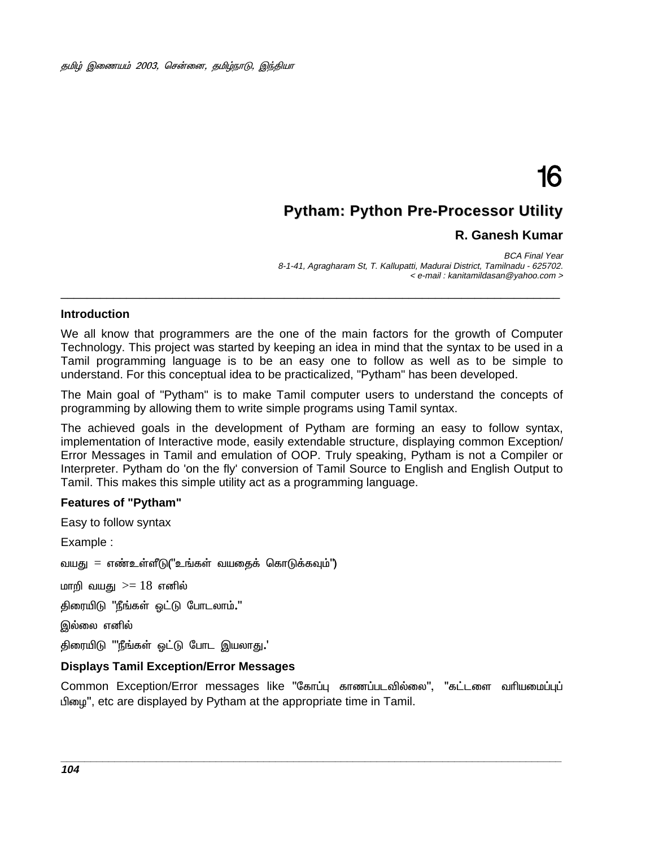# 16

# **Pytham: Python Pre-Processor Utility**

# **R. Ganesh Kumar**

BCA Final Year 8-1-41, Agragharam St, T. Kallupatti, Madurai District, Tamilnadu - 625702. < e-mail : kanitamildasan@yahoo.com >

# -**Introduction**

----------------------------------------------------------------------

-----

We all know that programmers are the one of the main factors for the growth of Computer Technology. This project was started by keeping an idea in mind that the syntax to be used in a Tamil programming language is to be an easy one to follow as well as to be simple to understand. For this conceptual idea to be practicalized, "Pytham" has been developed.

The Main goal of "Pytham" is to make Tamil computer users to understand the concepts of programming by allowing them to write simple programs using Tamil syntax.

The achieved goals in the development of Pytham are forming an easy to follow syntax, implementation of Interactive mode, easily extendable structure, displaying common Exception/ Error Messages in Tamil and emulation of OOP. Truly speaking, Pytham is not a Compiler or Interpreter. Pytham do 'on the fly' conversion of Tamil Source to English and English Output to Tamil. This makes this simple utility act as a programming language.

# **Features of "Pytham"**

Easy to follow syntax

Example :

வயது = எண்உள்ளீடு("உங்கள் வயதைக் கொடுக்கவும்")

மாறி வயது  $>= 18$  எனில்

திரையிடு "நீங்கள் ஒட்டு போடலாம்**.**"

இல்லை எனில்

திரையிடு '''நீங்கள் ஒட்டு போட இயலாது**.**'

#### **Displays Tamil Exception/Error Messages**

Common Exception/Error messages like "கோப்பு காணப்படவில்லை", "கட்டளை வரியமைப்புப் பிழை", etc are displayed by Pytham at the appropriate time in Tamil.

**\_\_\_\_\_\_\_\_\_\_\_\_\_\_\_\_\_\_\_\_\_\_\_\_\_\_\_\_\_\_\_\_\_\_\_\_\_\_\_\_\_\_\_\_\_\_\_\_\_\_\_\_\_\_\_\_\_\_\_\_\_\_\_\_\_\_\_\_\_\_\_\_\_\_\_\_\_\_\_\_\_\_\_\_**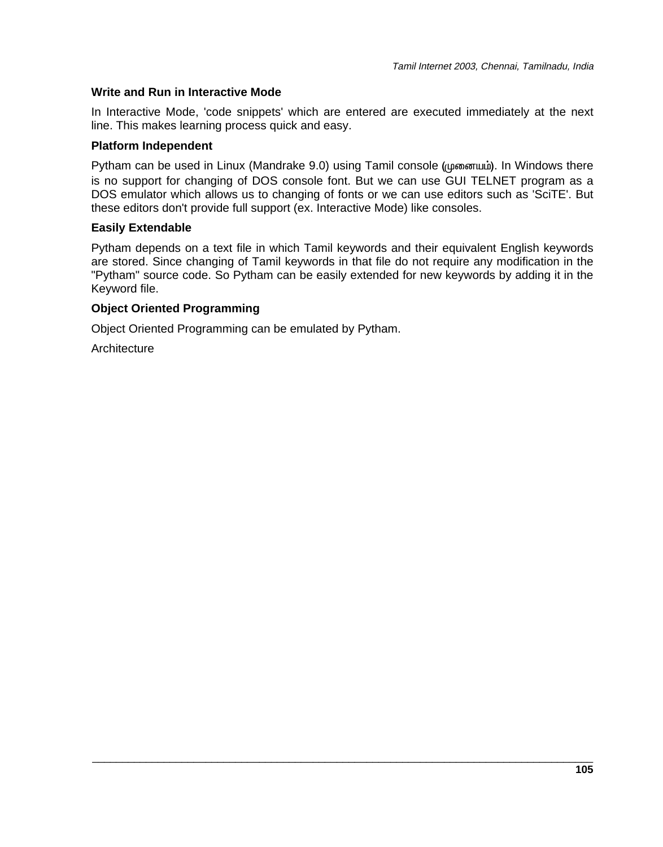# **Write and Run in Interactive Mode**

In Interactive Mode, 'code snippets' which are entered are executed immediately at the next line. This makes learning process quick and easy.

# **Platform Independent**

Pytham can be used in Linux (Mandrake 9.0) using Tamil console (முனையம்). In Windows there is no support for changing of DOS console font. But we can use GUI TELNET program as a DOS emulator which allows us to changing of fonts or we can use editors such as 'SciTE'. But these editors don't provide full support (ex. Interactive Mode) like consoles.

#### **Easily Extendable**

Pytham depends on a text file in which Tamil keywords and their equivalent English keywords are stored. Since changing of Tamil keywords in that file do not require any modification in the "Pytham" source code. So Pytham can be easily extended for new keywords by adding it in the Keyword file.

\_\_\_\_\_\_\_\_\_\_\_\_\_\_\_\_\_\_\_\_\_\_\_\_\_\_\_\_\_\_\_\_\_\_\_\_\_\_\_\_\_\_\_\_\_\_\_\_\_\_\_\_\_\_\_\_\_\_\_\_\_\_\_\_\_\_\_\_\_\_\_\_\_\_\_\_\_\_\_\_\_\_\_\_

# **Object Oriented Programming**

Object Oriented Programming can be emulated by Pytham.

**Architecture**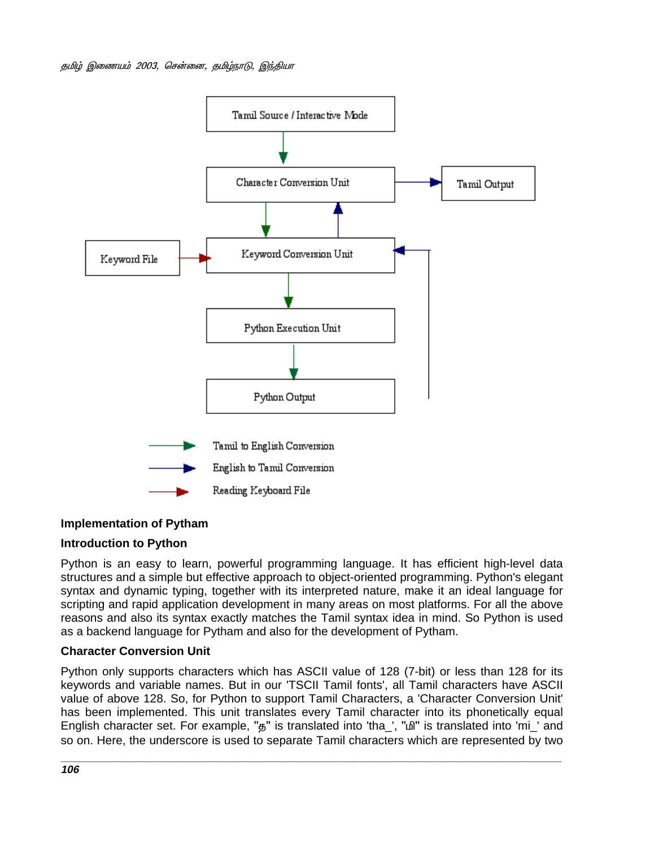

# **Implementation of Pytham**

# **Introduction to Python**

Python is an easy to learn, powerful programming language. It has efficient high-level data structures and a simple but effective approach to object-oriented programming. Python's elegant syntax and dynamic typing, together with its interpreted nature, make it an ideal language for scripting and rapid application development in many areas on most platforms. For all the above reasons and also its syntax exactly matches the Tamil syntax idea in mind. So Python is used as a backend language for Pytham and also for the development of Pytham.

# **Character Conversion Unit**

Python only supports characters which has ASCII value of 128 (7-bit) or less than 128 for its keywords and variable names. But in our 'TSCII Tamil fonts', all Tamil characters have ASCII value of above 128. So, for Python to support Tamil Characters, a 'Character Conversion Unit' has been implemented. This unit translates every Tamil character into its phonetically equal English character set. For example, "5" is translated into 'tha\_', " $\Delta$ " is translated into 'mi\_' and so on. Here, the underscore is used to separate Tamil characters which are represented by two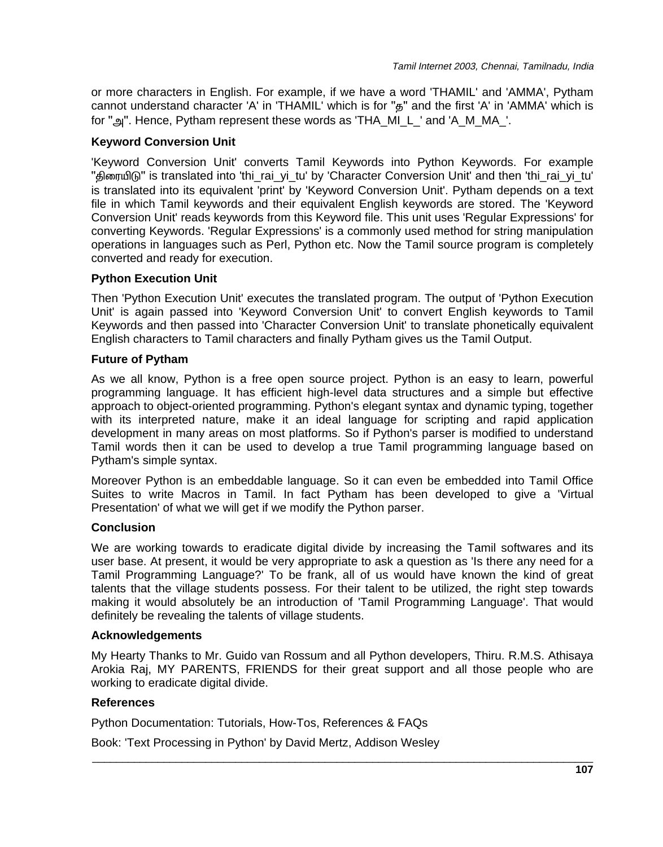or more characters in English. For example, if we have a word 'THAMIL' and 'AMMA', Pytham cannot understand character 'A' in 'THAMIL' which is for " $\sigma$ " and the first 'A' in 'AMMA' which is for " $\omega$ ". Hence, Pytham represent these words as 'THA\_MI\_L\_' and 'A\_M\_MA\_'.

# **Keyword Conversion Unit**

'Keyword Conversion Unit' converts Tamil Keywords into Python Keywords. For example "திரையிடு" is translated into 'thi\_rai\_yi\_tu' by 'Character Conversion Unit' and then 'thi\_rai\_yi\_tu' is translated into its equivalent 'print' by 'Keyword Conversion Unit'. Pytham depends on a text file in which Tamil keywords and their equivalent English keywords are stored. The 'Keyword Conversion Unit' reads keywords from this Keyword file. This unit uses 'Regular Expressions' for converting Keywords. 'Regular Expressions' is a commonly used method for string manipulation operations in languages such as Perl, Python etc. Now the Tamil source program is completely converted and ready for execution.

# **Python Execution Unit**

Then 'Python Execution Unit' executes the translated program. The output of 'Python Execution Unit' is again passed into 'Keyword Conversion Unit' to convert English keywords to Tamil Keywords and then passed into 'Character Conversion Unit' to translate phonetically equivalent English characters to Tamil characters and finally Pytham gives us the Tamil Output.

# **Future of Pytham**

As we all know, Python is a free open source project. Python is an easy to learn, powerful programming language. It has efficient high-level data structures and a simple but effective approach to object-oriented programming. Python's elegant syntax and dynamic typing, together with its interpreted nature, make it an ideal language for scripting and rapid application development in many areas on most platforms. So if Python's parser is modified to understand Tamil words then it can be used to develop a true Tamil programming language based on Pytham's simple syntax.

Moreover Python is an embeddable language. So it can even be embedded into Tamil Office Suites to write Macros in Tamil. In fact Pytham has been developed to give a 'Virtual Presentation' of what we will get if we modify the Python parser.

# **Conclusion**

We are working towards to eradicate digital divide by increasing the Tamil softwares and its user base. At present, it would be very appropriate to ask a question as 'Is there any need for a Tamil Programming Language?' To be frank, all of us would have known the kind of great talents that the village students possess. For their talent to be utilized, the right step towards making it would absolutely be an introduction of 'Tamil Programming Language'. That would definitely be revealing the talents of village students.

# **Acknowledgements**

My Hearty Thanks to Mr. Guido van Rossum and all Python developers, Thiru. R.M.S. Athisaya Arokia Raj, MY PARENTS, FRIENDS for their great support and all those people who are working to eradicate digital divide.

\_\_\_\_\_\_\_\_\_\_\_\_\_\_\_\_\_\_\_\_\_\_\_\_\_\_\_\_\_\_\_\_\_\_\_\_\_\_\_\_\_\_\_\_\_\_\_\_\_\_\_\_\_\_\_\_\_\_\_\_\_\_\_\_\_\_\_\_\_\_\_\_\_\_\_\_\_\_\_\_\_\_\_\_

# **References**

Python Documentation: Tutorials, How-Tos, References & FAQs

Book: 'Text Processing in Python' by David Mertz, Addison Wesley